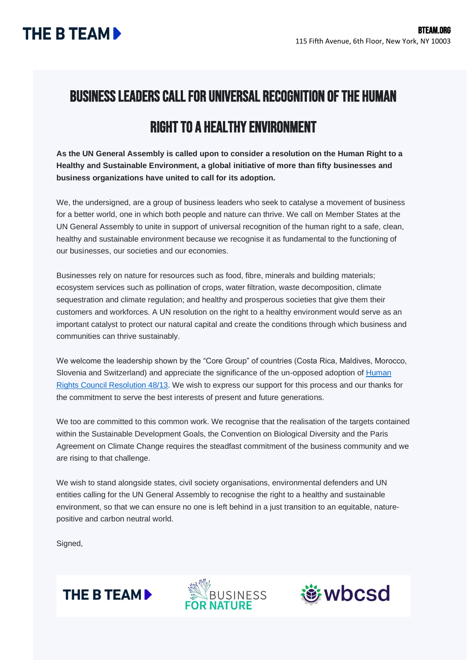## Business Leaders Call for Universal Recognition of the Human

## Right to a Healthy Environment

**As the UN General Assembly is called upon to consider a resolution on the Human Right to a Healthy and Sustainable Environment, a global initiative of more than fifty businesses and business organizations have united to call for its adoption.**

We, the undersigned, are a group of business leaders who seek to catalyse a movement of business for a better world, one in which both people and nature can thrive. We call on Member States at the UN General Assembly to unite in support of universal recognition of the human right to a safe, clean, healthy and sustainable environment because we recognise it as fundamental to the functioning of our businesses, our societies and our economies.

Businesses rely on nature for resources such as food, fibre, minerals and building materials; ecosystem services such as pollination of crops, water filtration, waste decomposition, climate sequestration and climate regulation; and healthy and prosperous societies that give them their customers and workforces. A UN resolution on the right to a healthy environment would serve as an important catalyst to protect our natural capital and create the conditions through which business and communities can thrive sustainably.

We welcome the leadership shown by the "Core Group" of countries (Costa Rica, Maldives, Morocco, Slovenia and Switzerland) and appreciate the significance of the un-opposed adoption of Human [Rights Council Resolution 48/13.](https://daccess-ods.un.org/access.nsf/Get?OpenAgent&DS=A/HRC/RES/48/13&Lang=E) We wish to express our support for this process and our thanks for the commitment to serve the best interests of present and future generations.

We too are committed to this common work. We recognise that the realisation of the targets contained within the Sustainable Development Goals, the Convention on Biological Diversity and the Paris Agreement on Climate Change requires the steadfast commitment of the business community and we are rising to that challenge.

We wish to stand alongside states, civil society organisations, environmental defenders and UN entities calling for the UN General Assembly to recognise the right to a healthy and sustainable environment, so that we can ensure no one is left behind in a just transition to an equitable, naturepositive and carbon neutral world.

Signed,





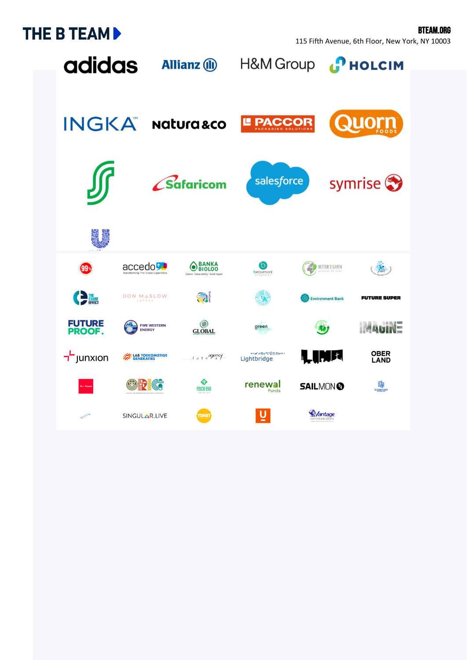## **THE B TEAM >**

115 Fifth Avenue, 6th Floor, New York, NY 10003

BTEAM.ORG